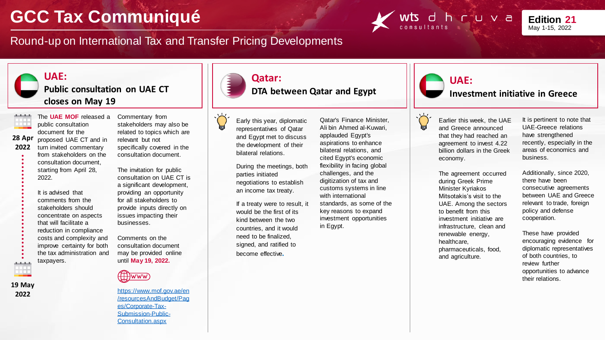## **GCC Tax Communiqué**

Round-up on International Tax and Transfer Pricing Developments





## **UAE:**

**Public consultation on UAE CT closes on May 19**



proposed UAE CT and in turn invited commentary from stakeholders on the consultation document, starting from April 28, 2022. **28 Apr 2022**

> It is advised that comments from the stakeholders should concentrate on aspects that will facilitate a reduction in compliance costs and complexity and improve certainty for both the tax administration and taxpayers.



**19 May 2022**

The **UAE MOF** released a Commentary from stakeholders may also be related to topics which are relevant but not specifically covered in the consultation document.

> The invitation for public consultation on UAE CT is a significant development, providing an opportunity for all stakeholders to provide inputs directly on issues impacting their businesses.

Comments on the consultation document may be provided online until **May 19, 2022.** 



https://www.mof.gov.ae/en [/resourcesAndBudget/Pag](https://www.mof.gov.ae/en/resourcesAndBudget/Pages/Corporate-Tax-Submission-Public-Consultation.aspx) es/Corporate-Tax-Submission-Public-Consultation.aspx



**DTA between Qatar and Egypt**

Early this year, diplomatic representatives of Qatar and Egypt met to discuss the development of their bilateral relations.

**Qatar:** 

During the meetings, both parties initiated negotiations to establish an income tax treaty.

If a treaty were to result, it would be the first of its kind between the two countries, and it would need to be finalized, signed, and ratified to become effective**.**

Qatar's Finance Minister, Ali bin Ahmed al-Kuwari, applauded Egypt's aspirations to enhance bilateral relations, and cited Egypt's economic flexibility in facing global challenges, and the digitization of tax and customs systems in line with international standards, as some of the key reasons to expand investment opportunities in Egypt.



**Investment initiative in Greece**



Earlier this week, the UAE and Greece announced that they had reached an agreement to invest 4.22 billion dollars in the Greek economy.

The agreement occurred during Greek Prime Minister Kyriakos Mitsotakis's visit to the UAE. Among the sectors to benefit from this investment initiative are infrastructure, clean and renewable energy, healthcare, pharmaceuticals, food, and agriculture.

It is pertinent to note that UAE-Greece relations have strengthened recently, especially in the areas of economics and business.

Additionally, since 2020, there have been consecutive agreements between UAE and Greece relevant to trade, foreign policy and defense cooperation.

These have provided encouraging evidence for diplomatic representatives of both countries, to review further opportunities to advance their relations.